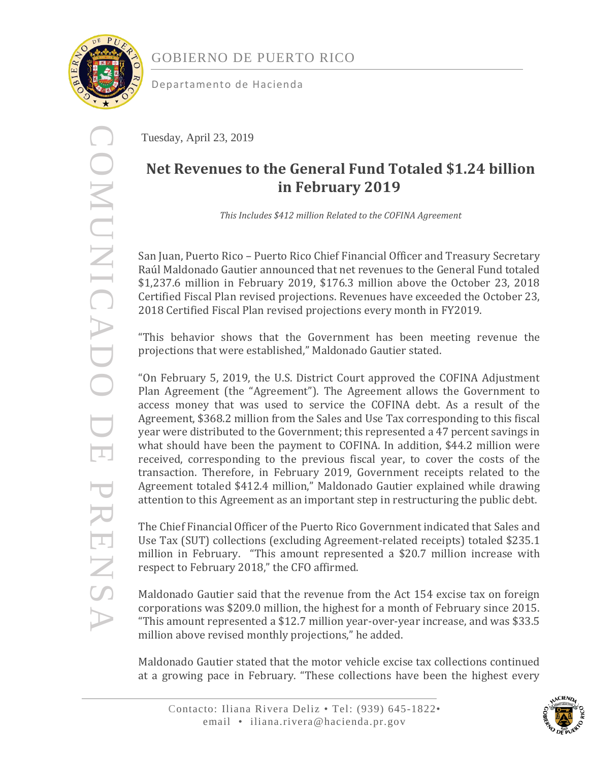

COMUNICADO DE PRENSA

PRENS

COMUNICADO DE

Departamento de Hacienda

Tuesday, April 23, 2019

# **Net Revenues to the General Fund Totaled \$1.24 billion in February 2019**

*This Includes \$412 million Related to the COFINA Agreement*

San Juan, Puerto Rico – Puerto Rico Chief Financial Officer and Treasury Secretary Raúl Maldonado Gautier announced that net revenues to the General Fund totaled \$1,237.6 million in February 2019, \$176.3 million above the October 23, 2018 Certified Fiscal Plan revised projections. Revenues have exceeded the October 23, 2018 Certified Fiscal Plan revised projections every month in FY2019.

"This behavior shows that the Government has been meeting revenue the projections that were established," Maldonado Gautier stated.

"On February 5, 2019, the U.S. District Court approved the COFINA Adjustment Plan Agreement (the "Agreement"). The Agreement allows the Government to access money that was used to service the COFINA debt. As a result of the Agreement, \$368.2 million from the Sales and Use Tax corresponding to this fiscal year were distributed to the Government; this represented a 47 percent savings in what should have been the payment to COFINA. In addition, \$44.2 million were received, corresponding to the previous fiscal year, to cover the costs of the transaction. Therefore, in February 2019, Government receipts related to the Agreement totaled \$412.4 million," Maldonado Gautier explained while drawing attention to this Agreement as an important step in restructuring the public debt.

The Chief Financial Officer of the Puerto Rico Government indicated that Sales and Use Tax (SUT) collections (excluding Agreement-related receipts) totaled \$235.1 million in February. "This amount represented a \$20.7 million increase with respect to February 2018," the CFO affirmed.

Maldonado Gautier said that the revenue from the Act 154 excise tax on foreign corporations was \$209.0 million, the highest for a month of February since 2015. "This amount represented a \$12.7 million year-over-year increase, and was \$33.5 million above revised monthly projections," he added.

Maldonado Gautier stated that the motor vehicle excise tax collections continued at a growing pace in February. "These collections have been the highest every

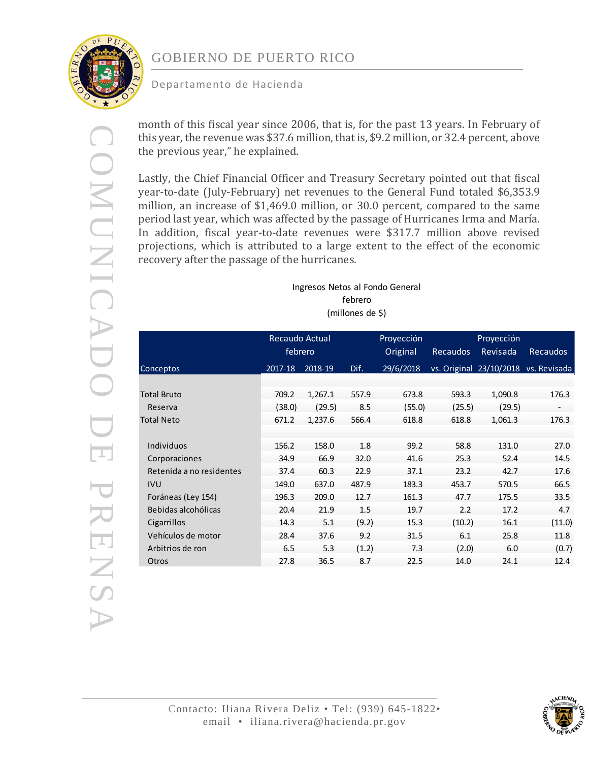

COMUNICADO DE PRENSA

PRENSA

**DOMUNICADO DE** 

## GOBIERNO DE PUERTO RICO

### Departamento de Hacienda

month of this fiscal year since 2006, that is, for the past 13 years. In February of this year, the revenue was \$37.6 million, that is, \$9.2 million, or 32.4 percent, above the previous year," he explained.

Lastly, the Chief Financial Officer and Treasury Secretary pointed out that fiscal year-to-date (July-February) net revenues to the General Fund totaled \$6,353.9 million, an increase of \$1,469.0 million, or 30.0 percent, compared to the same period last year, which was affected by the passage of Hurricanes Irma and María. In addition, fiscal year-to-date revenues were \$317.7 million above revised projections, which is attributed to a large extent to the effect of the economic recovery after the passage of the hurricanes.

> Ingresos Netos al Fondo General febrero (millones de \$)

|                          | Recaudo Actual |         |          | Proyección      |          | Proyección              |                          |
|--------------------------|----------------|---------|----------|-----------------|----------|-------------------------|--------------------------|
|                          | febrero        |         | Original | <b>Recaudos</b> | Revisada | Recaudos                |                          |
| Conceptos                | 2017-18        | 2018-19 | Dif.     | 29/6/2018       |          | vs. Original 23/10/2018 | vs. Revisada             |
|                          |                |         |          |                 |          |                         |                          |
| <b>Total Bruto</b>       | 709.2          | 1,267.1 | 557.9    | 673.8           | 593.3    | 1,090.8                 | 176.3                    |
| Reserva                  | (38.0)         | (29.5)  | 8.5      | (55.0)          | (25.5)   | (29.5)                  | $\overline{\phantom{a}}$ |
| <b>Total Neto</b>        | 671.2          | 1,237.6 | 566.4    | 618.8           | 618.8    | 1,061.3                 | 176.3                    |
|                          |                |         |          |                 |          |                         |                          |
| Individuos               | 156.2          | 158.0   | 1.8      | 99.2            | 58.8     | 131.0                   | 27.0                     |
| Corporaciones            | 34.9           | 66.9    | 32.0     | 41.6            | 25.3     | 52.4                    | 14.5                     |
| Retenida a no residentes | 37.4           | 60.3    | 22.9     | 37.1            | 23.2     | 42.7                    | 17.6                     |
| <b>IVU</b>               | 149.0          | 637.0   | 487.9    | 183.3           | 453.7    | 570.5                   | 66.5                     |
| Foráneas (Ley 154)       | 196.3          | 209.0   | 12.7     | 161.3           | 47.7     | 175.5                   | 33.5                     |
| Bebidas alcohólicas      | 20.4           | 21.9    | 1.5      | 19.7            | 2.2      | 17.2                    | 4.7                      |
| Cigarrillos              | 14.3           | 5.1     | (9.2)    | 15.3            | (10.2)   | 16.1                    | (11.0)                   |
| Vehículos de motor       | 28.4           | 37.6    | 9.2      | 31.5            | 6.1      | 25.8                    | 11.8                     |
| Arbitrios de ron         | 6.5            | 5.3     | (1.2)    | 7.3             | (2.0)    | 6.0                     | (0.7)                    |
| Otros                    | 27.8           | 36.5    | 8.7      | 22.5            | 14.0     | 24.1                    | 12.4                     |